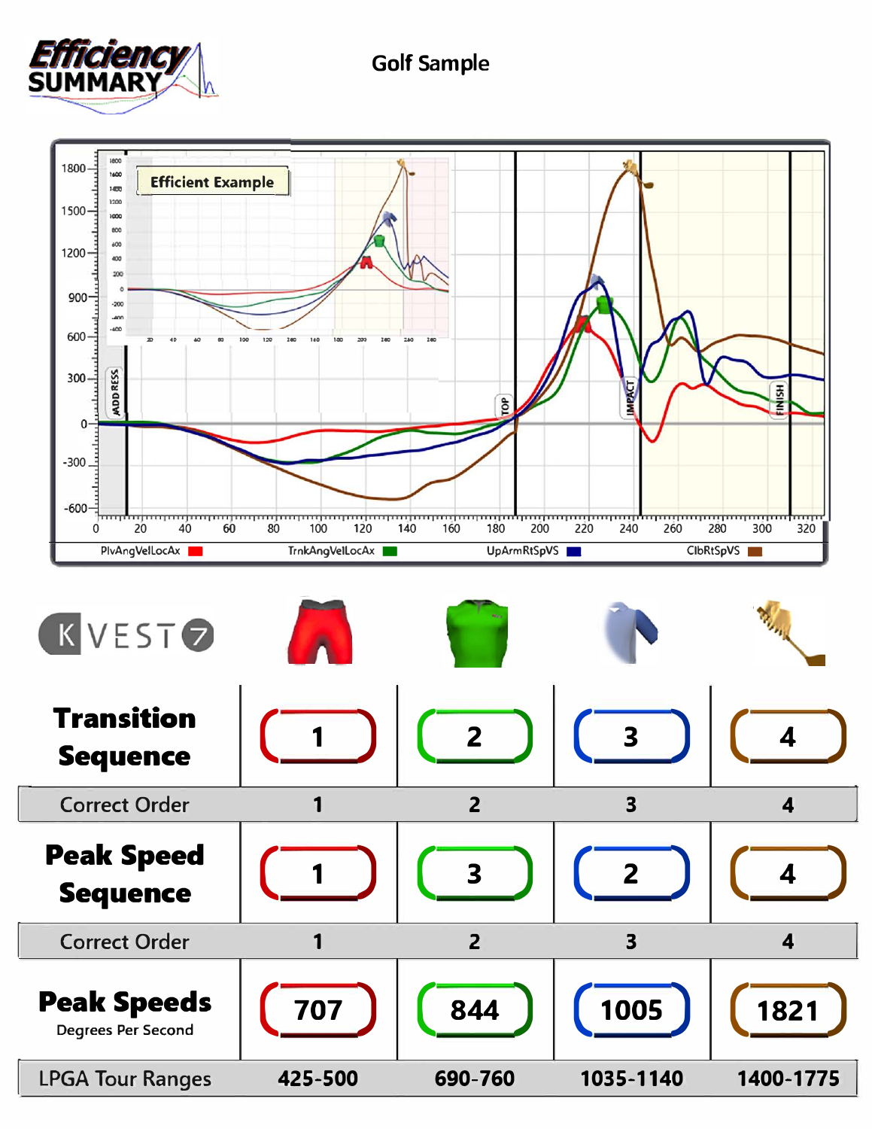

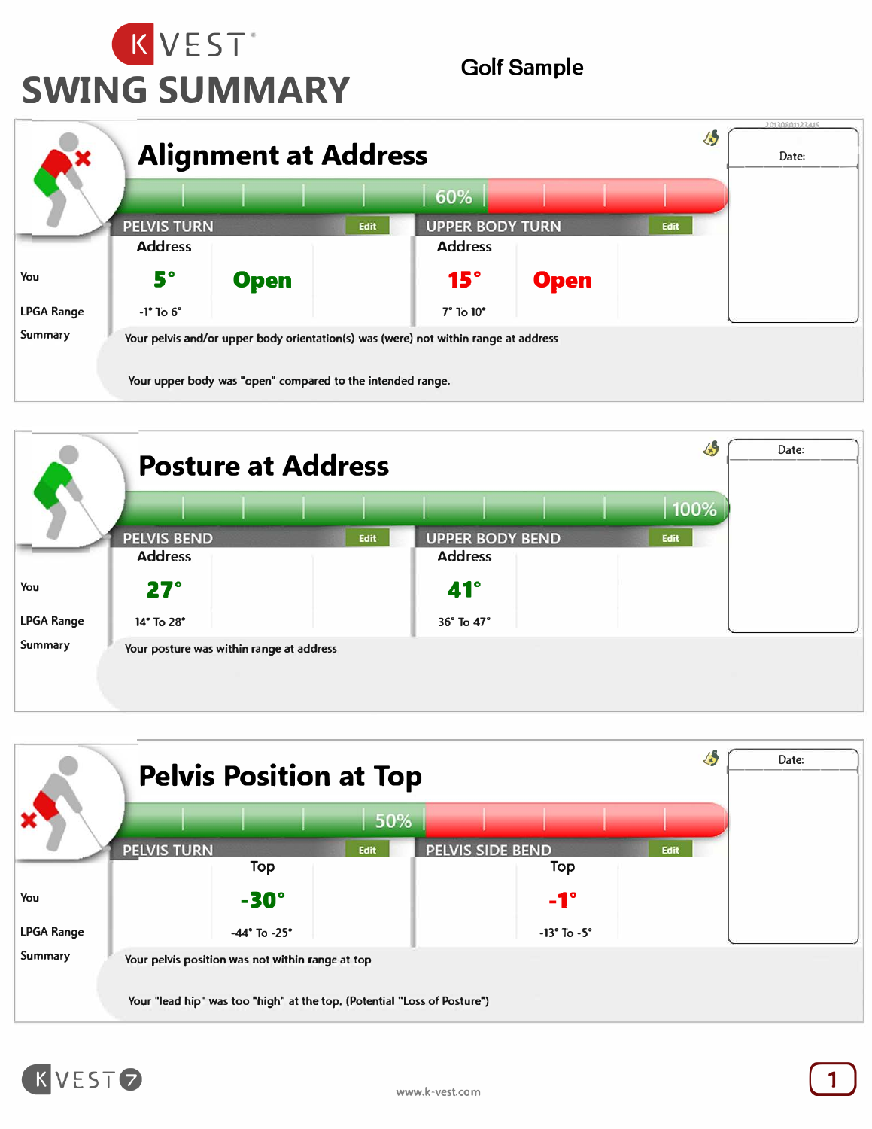







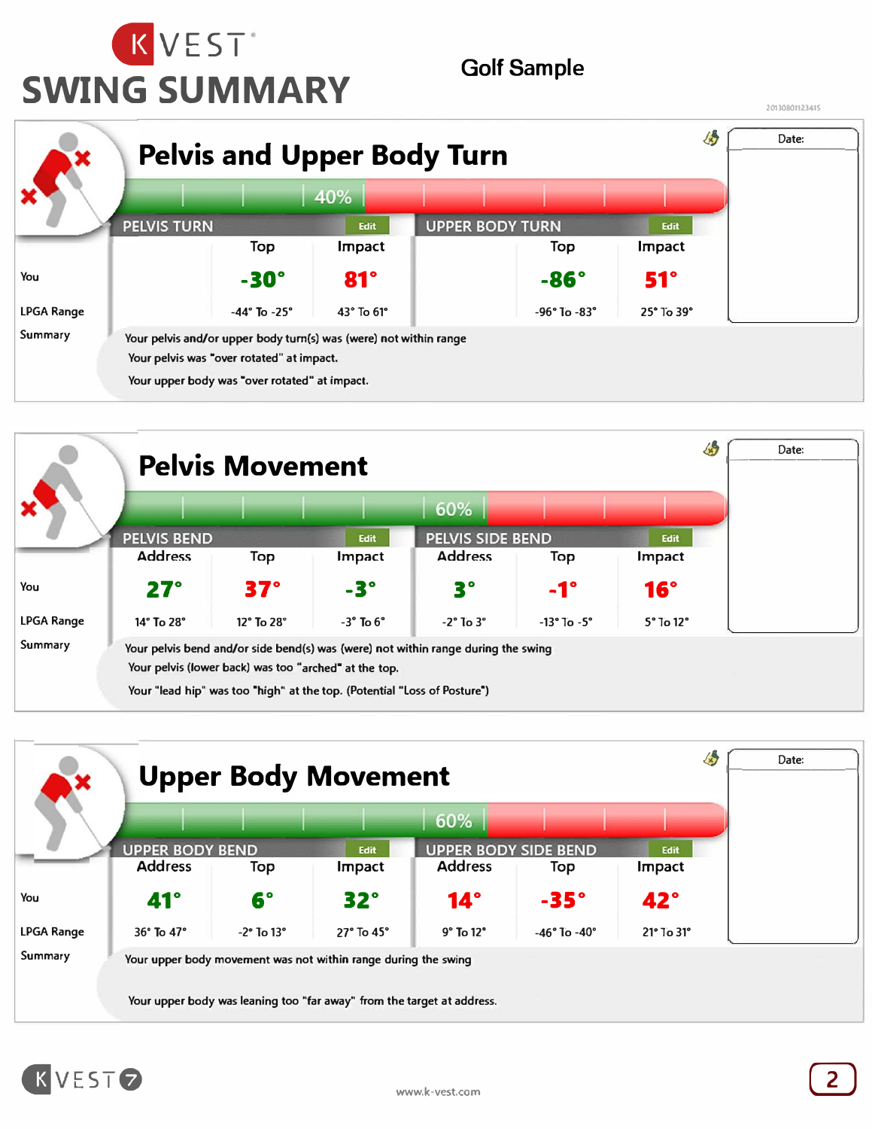







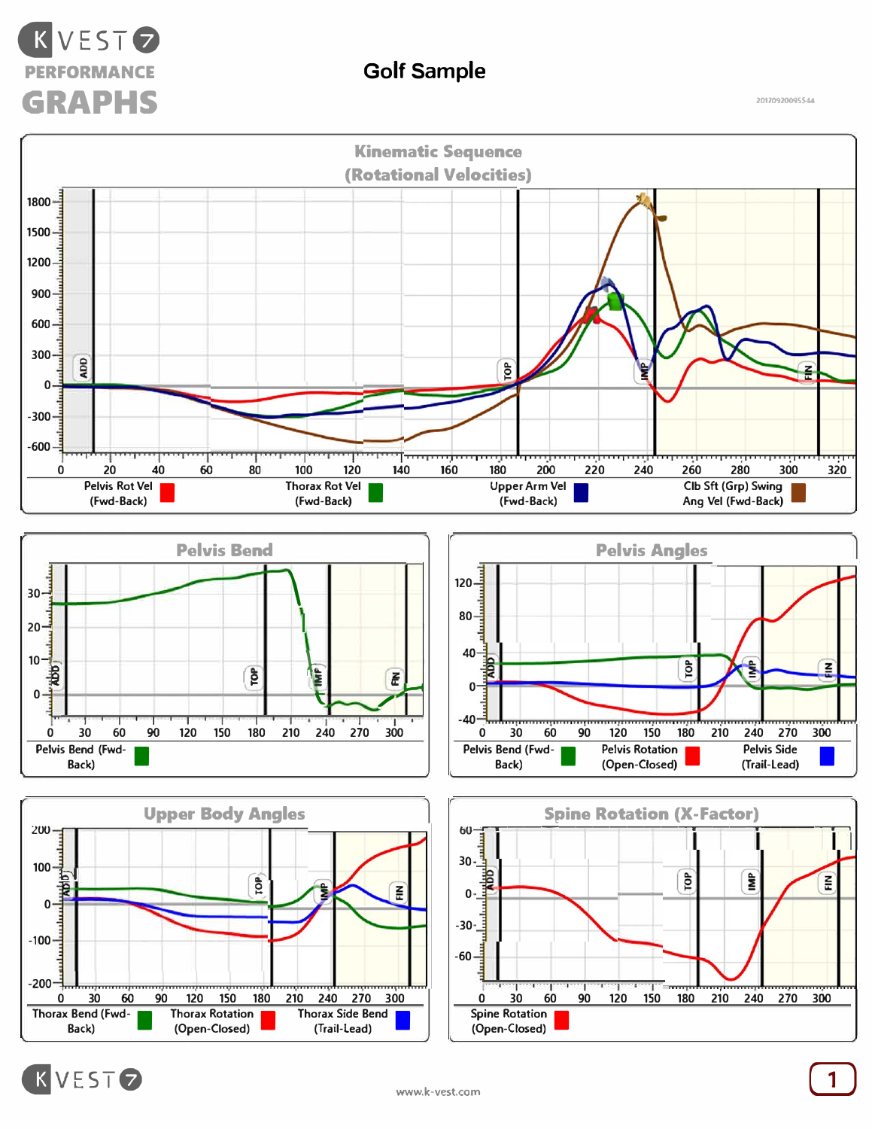

**2017092009SS.U** 







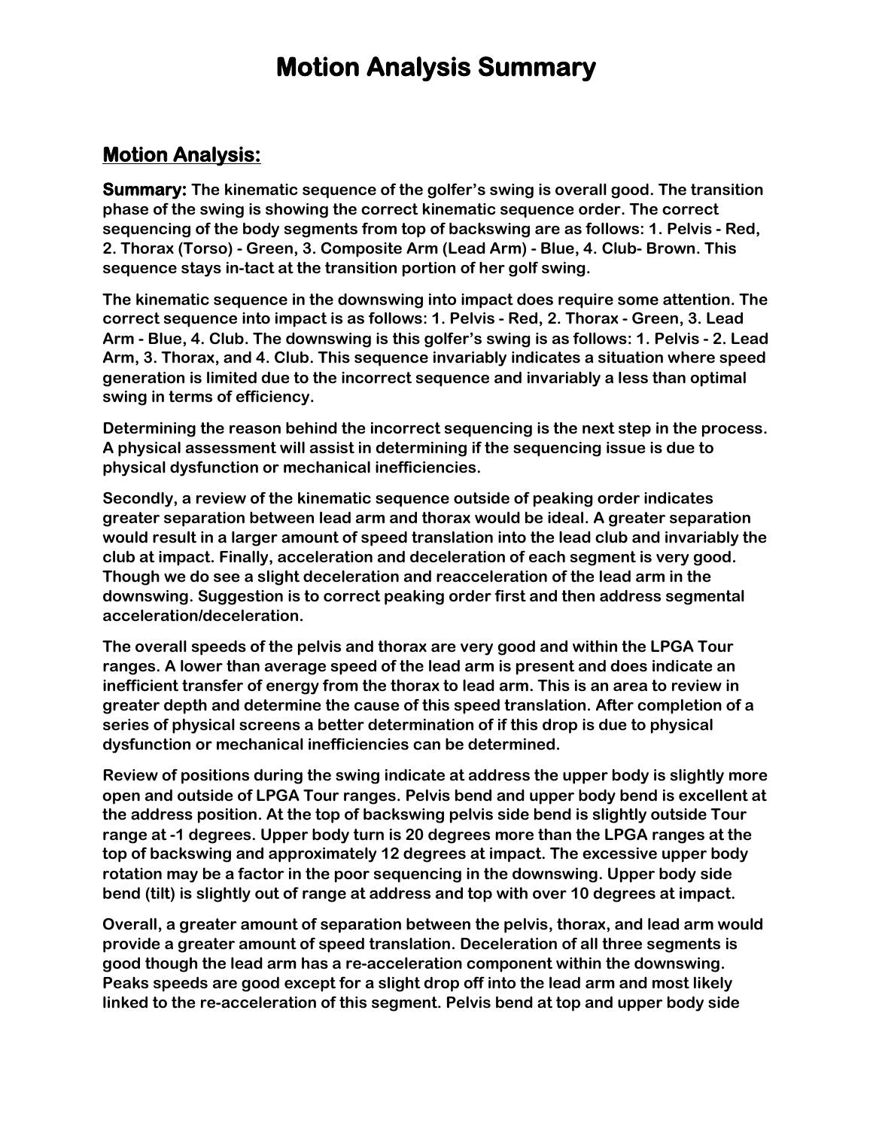## **Motion Analysis Summary**

#### **Motion Analysis:**

**Summary: The kinematic sequence of the golfer's swing is overall good. The transition phase of the swing is showing the correct kinematic sequence order. The correct sequencing of the body segments from top of backswing are as follows: 1. Pelvis - Red, 2. Thorax (Torso) - Green, 3. Composite Arm (Lead Arm) - Blue, 4. Club- Brown. This sequence stays in-tact at the transition portion of her golf swing.**

**The kinematic sequence in the downswing into impact does require some attention. The correct sequence into impact is as follows: 1. Pelvis - Red, 2. Thorax - Green, 3. Lead Arm - Blue, 4. Club. The downswing is this golfer's swing is as follows: 1. Pelvis - 2. Lead Arm, 3. Thorax, and 4. Club. This sequence invariably indicates a situation where speed generation is limited due to the incorrect sequence and invariably a less than optimal swing in terms of efficiency.** 

**Determining the reason behind the incorrect sequencing is the next step in the process. A physical assessment will assist in determining if the sequencing issue is due to physical dysfunction or mechanical inefficiencies.** 

**Secondly, a review of the kinematic sequence outside of peaking order indicates greater separation between lead arm and thorax would be ideal. A greater separation would result in a larger amount of speed translation into the lead club and invariably the club at impact. Finally, acceleration and deceleration of each segment is very good. Though we do see a slight deceleration and reacceleration of the lead arm in the downswing. Suggestion is to correct peaking order first and then address segmental acceleration/deceleration.** 

**The overall speeds of the pelvis and thorax are very good and within the LPGA Tour ranges. A lower than average speed of the lead arm is present and does indicate an inefficient transfer of energy from the thorax to lead arm. This is an area to review in greater depth and determine the cause of this speed translation. After completion of a series of physical screens a better determination of if this drop is due to physical dysfunction or mechanical inefficiencies can be determined.** 

**Review of positions during the swing indicate at address the upper body is slightly more open and outside of LPGA Tour ranges. Pelvis bend and upper body bend is excellent at the address position. At the top of backswing pelvis side bend is slightly outside Tour range at -1 degrees. Upper body turn is 20 degrees more than the LPGA ranges at the top of backswing and approximately 12 degrees at impact. The excessive upper body rotation may be a factor in the poor sequencing in the downswing. Upper body side bend (tilt) is slightly out of range at address and top with over 10 degrees at impact.** 

**Overall, a greater amount of separation between the pelvis, thorax, and lead arm would provide a greater amount of speed translation. Deceleration of all three segments is good though the lead arm has a re-acceleration component within the downswing. Peaks speeds are good except for a slight drop off into the lead arm and most likely linked to the re-acceleration of this segment. Pelvis bend at top and upper body side**